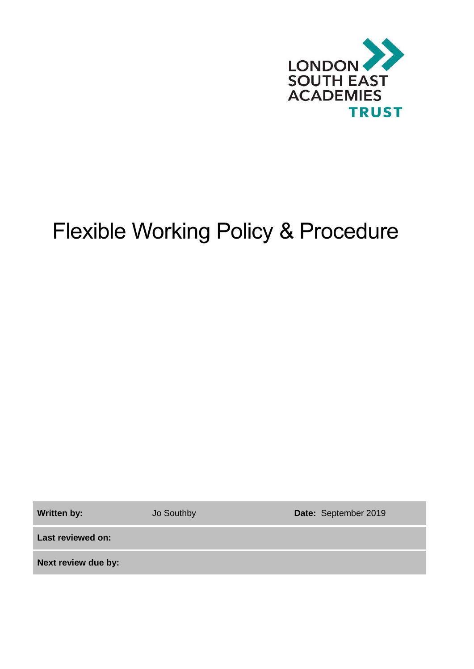

# Flexible Working Policy & Procedure

Written by: **Jo Southby <b>Date:** September 2019

**Last reviewed on:**

**Next review due by:**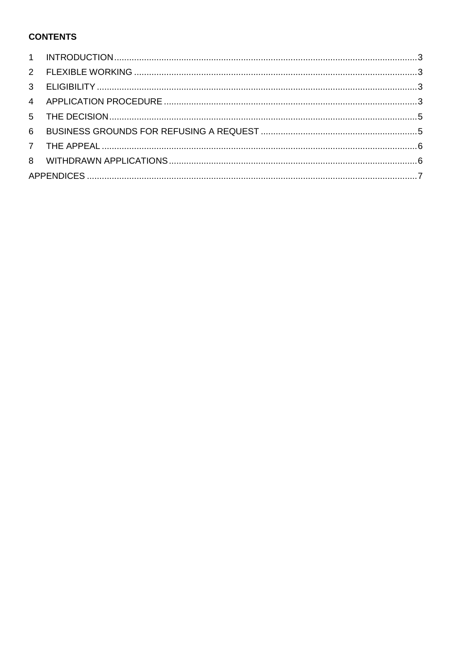## **CONTENTS**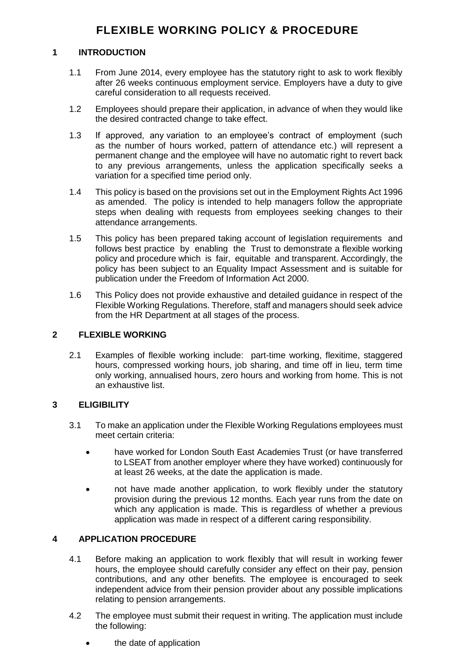### <span id="page-2-0"></span>**1 INTRODUCTION**

- 1.1 From June 2014, every employee has the statutory right to ask to work flexibly after 26 weeks continuous employment service. Employers have a duty to give careful consideration to all requests received.
- 1.2 Employees should prepare their application, in advance of when they would like the desired contracted change to take effect.
- 1.3 If approved, any variation to an employee's contract of employment (such as the number of hours worked, pattern of attendance etc.) will represent a permanent change and the employee will have no automatic right to revert back to any previous arrangements, unless the application specifically seeks a variation for a specified time period only.
- 1.4 This policy is based on the provisions set out in the Employment Rights Act 1996 as amended. The policy is intended to help managers follow the appropriate steps when dealing with requests from employees seeking changes to their attendance arrangements.
- 1.5 This policy has been prepared taking account of legislation requirements and follows best practice by enabling the Trust to demonstrate a flexible working policy and procedure which is fair, equitable and transparent. Accordingly, the policy has been subject to an Equality Impact Assessment and is suitable for publication under the Freedom of Information Act 2000.
- 1.6 This Policy does not provide exhaustive and detailed guidance in respect of the Flexible Working Regulations. Therefore, staff and managers should seek advice from the HR Department at all stages of the process.

### <span id="page-2-1"></span>**2 FLEXIBLE WORKING**

2.1 Examples of flexible working include: part-time working, flexitime, staggered hours, compressed working hours, job sharing, and time off in lieu, term time only working, annualised hours, zero hours and working from home. This is not an exhaustive list.

### <span id="page-2-2"></span>**3 ELIGIBILITY**

- 3.1 To make an application under the Flexible Working Regulations employees must meet certain criteria:
	- have worked for London South East Academies Trust (or have transferred to LSEAT from another employer where they have worked) continuously for at least 26 weeks, at the date the application is made.
	- not have made another application, to work flexibly under the statutory provision during the previous 12 months. Each year runs from the date on which any application is made. This is regardless of whether a previous application was made in respect of a different caring responsibility.

### <span id="page-2-3"></span>**4 APPLICATION PROCEDURE**

- 4.1 Before making an application to work flexibly that will result in working fewer hours, the employee should carefully consider any effect on their pay, pension contributions, and any other benefits. The employee is encouraged to seek independent advice from their pension provider about any possible implications relating to pension arrangements.
- 4.2 The employee must submit their request in writing. The application must include the following:
	- the date of application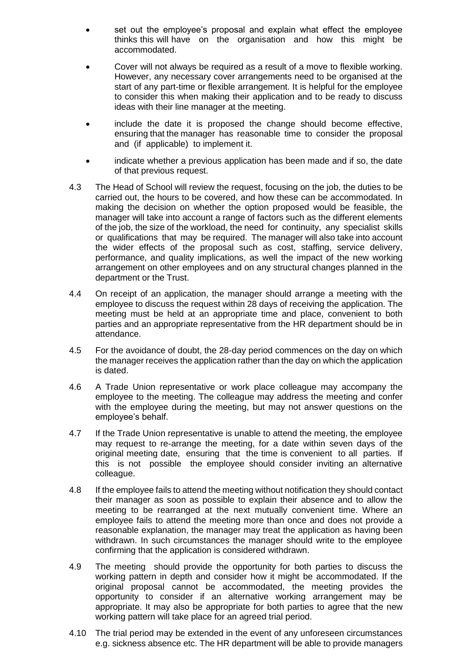- set out the employee's proposal and explain what effect the employee thinks this will have on the organisation and how this might be accommodated.
- Cover will not always be required as a result of a move to flexible working. However, any necessary cover arrangements need to be organised at the start of any part-time or flexible arrangement. It is helpful for the employee to consider this when making their application and to be ready to discuss ideas with their line manager at the meeting.
- include the date it is proposed the change should become effective, ensuring that the manager has reasonable time to consider the proposal and (if applicable) to implement it.
- indicate whether a previous application has been made and if so, the date of that previous request.
- 4.3 The Head of School will review the request, focusing on the job, the duties to be carried out, the hours to be covered, and how these can be accommodated. In making the decision on whether the option proposed would be feasible, the manager will take into account a range of factors such as the different elements of the job, the size of the workload, the need for continuity, any specialist skills or qualifications that may be required. The manager will also take into account the wider effects of the proposal such as cost, staffing, service delivery, performance, and quality implications, as well the impact of the new working arrangement on other employees and on any structural changes planned in the department or the Trust.
- 4.4 On receipt of an application, the manager should arrange a meeting with the employee to discuss the request within 28 days of receiving the application. The meeting must be held at an appropriate time and place, convenient to both parties and an appropriate representative from the HR department should be in attendance.
- 4.5 For the avoidance of doubt, the 28-day period commences on the day on which the manager receives the application rather than the day on which the application is dated.
- 4.6 A Trade Union representative or work place colleague may accompany the employee to the meeting. The colleague may address the meeting and confer with the employee during the meeting, but may not answer questions on the employee's behalf.
- 4.7 If the Trade Union representative is unable to attend the meeting, the employee may request to re-arrange the meeting, for a date within seven days of the original meeting date, ensuring that the time is convenient to all parties. If this is not possible the employee should consider inviting an alternative colleague.
- 4.8 If the employee fails to attend the meeting without notification they should contact their manager as soon as possible to explain their absence and to allow the meeting to be rearranged at the next mutually convenient time. Where an employee fails to attend the meeting more than once and does not provide a reasonable explanation, the manager may treat the application as having been withdrawn. In such circumstances the manager should write to the employee confirming that the application is considered withdrawn.
- 4.9 The meeting should provide the opportunity for both parties to discuss the working pattern in depth and consider how it might be accommodated. If the original proposal cannot be accommodated, the meeting provides the opportunity to consider if an alternative working arrangement may be appropriate. It may also be appropriate for both parties to agree that the new working pattern will take place for an agreed trial period.
- 4.10 The trial period may be extended in the event of any unforeseen circumstances e.g. sickness absence etc. The HR department will be able to provide managers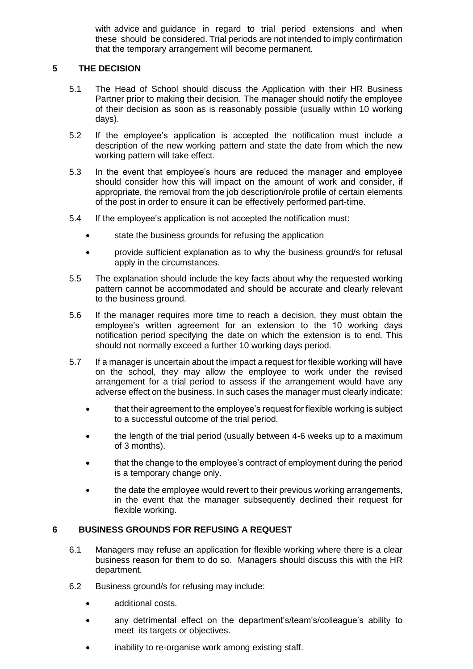with advice and guidance in regard to trial period extensions and when these should be considered. Trial periods are not intended to imply confirmation that the temporary arrangement will become permanent.

#### <span id="page-4-0"></span>**5 THE DECISION**

- 5.1 The Head of School should discuss the Application with their HR Business Partner prior to making their decision. The manager should notify the employee of their decision as soon as is reasonably possible (usually within 10 working days).
- 5.2 If the employee's application is accepted the notification must include a description of the new working pattern and state the date from which the new working pattern will take effect.
- 5.3 In the event that employee's hours are reduced the manager and employee should consider how this will impact on the amount of work and consider, if appropriate, the removal from the job description/role profile of certain elements of the post in order to ensure it can be effectively performed part-time.
- 5.4 If the employee's application is not accepted the notification must:
	- state the business grounds for refusing the application
	- provide sufficient explanation as to why the business ground/s for refusal apply in the circumstances.
- 5.5 The explanation should include the key facts about why the requested working pattern cannot be accommodated and should be accurate and clearly relevant to the business ground.
- 5.6 If the manager requires more time to reach a decision, they must obtain the employee's written agreement for an extension to the 10 working days notification period specifying the date on which the extension is to end. This should not normally exceed a further 10 working days period.
- 5.7 If a manager is uncertain about the impact a request for flexible working will have on the school, they may allow the employee to work under the revised arrangement for a trial period to assess if the arrangement would have any adverse effect on the business. In such cases the manager must clearly indicate:
	- that their agreement to the employee's request for flexible working is subject to a successful outcome of the trial period.
	- the length of the trial period (usually between 4-6 weeks up to a maximum of 3 months).
	- that the change to the employee's contract of employment during the period is a temporary change only.
	- the date the employee would revert to their previous working arrangements, in the event that the manager subsequently declined their request for flexible working.

### <span id="page-4-1"></span>**6 BUSINESS GROUNDS FOR REFUSING A REQUEST**

- 6.1 Managers may refuse an application for flexible working where there is a clear business reason for them to do so. Managers should discuss this with the HR department.
- 6.2 Business ground/s for refusing may include:
	- additional costs.
	- any detrimental effect on the department's/team's/colleague's ability to meet its targets or objectives.
	- inability to re-organise work among existing staff.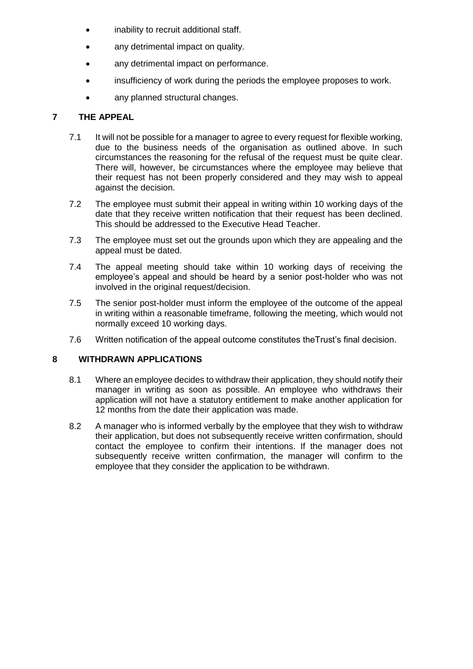- inability to recruit additional staff.
- any detrimental impact on quality.
- any detrimental impact on performance.
- insufficiency of work during the periods the employee proposes to work.
- any planned structural changes.

#### <span id="page-5-0"></span>**7 THE APPEAL**

- 7.1 It will not be possible for a manager to agree to every request for flexible working, due to the business needs of the organisation as outlined above. In such circumstances the reasoning for the refusal of the request must be quite clear. There will, however, be circumstances where the employee may believe that their request has not been properly considered and they may wish to appeal against the decision.
- 7.2 The employee must submit their appeal in writing within 10 working days of the date that they receive written notification that their request has been declined. This should be addressed to the Executive Head Teacher.
- 7.3 The employee must set out the grounds upon which they are appealing and the appeal must be dated.
- 7.4 The appeal meeting should take within 10 working days of receiving the employee's appeal and should be heard by a senior post-holder who was not involved in the original request/decision.
- 7.5 The senior post-holder must inform the employee of the outcome of the appeal in writing within a reasonable timeframe, following the meeting, which would not normally exceed 10 working days.
- 7.6 Written notification of the appeal outcome constitutes theTrust's final decision.

#### <span id="page-5-1"></span>**8 WITHDRAWN APPLICATIONS**

- 8.1 Where an employee decides to withdraw their application, they should notify their manager in writing as soon as possible. An employee who withdraws their application will not have a statutory entitlement to make another application for 12 months from the date their application was made.
- 8.2 A manager who is informed verbally by the employee that they wish to withdraw their application, but does not subsequently receive written confirmation, should contact the employee to confirm their intentions. If the manager does not subsequently receive written confirmation, the manager will confirm to the employee that they consider the application to be withdrawn.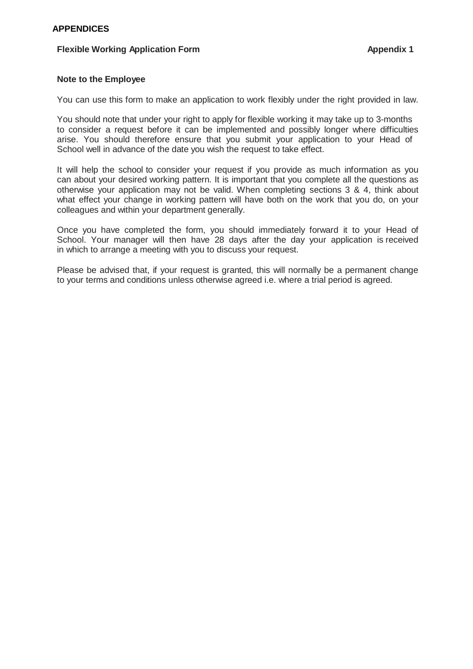#### <span id="page-6-0"></span>**Flexible Working Application Form Appendix 1**

#### **Note to the Employee**

You can use this form to make an application to work flexibly under the right provided in law.

You should note that under your right to apply for flexible working it may take up to 3-months to consider a request before it can be implemented and possibly longer where difficulties arise. You should therefore ensure that you submit your application to your Head of School well in advance of the date you wish the request to take effect.

It will help the school to consider your request if you provide as much information as you can about your desired working pattern. It is important that you complete all the questions as otherwise your application may not be valid. When completing sections 3 & 4, think about what effect your change in working pattern will have both on the work that you do, on your colleagues and within your department generally.

Once you have completed the form, you should immediately forward it to your Head of School. Your manager will then have 28 days after the day your application is received in which to arrange a meeting with you to discuss your request.

Please be advised that, if your request is granted, this will normally be a permanent change to your terms and conditions unless otherwise agreed i.e. where a trial period is agreed.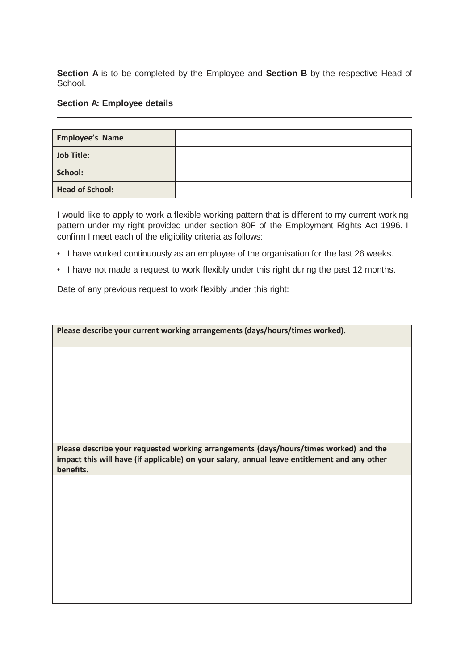**Section A** is to be completed by the Employee and **Section B** by the respective Head of School.

#### **Section A: Employee details**

| <b>Employee's Name</b> |  |
|------------------------|--|
| <b>Job Title:</b>      |  |
| School:                |  |
| <b>Head of School:</b> |  |

I would like to apply to work a flexible working pattern that is different to my current working pattern under my right provided under section 80F of the Employment Rights Act 1996. I confirm I meet each of the eligibility criteria as follows:

- I have worked continuously as an employee of the organisation for the last 26 weeks.
- I have not made a request to work flexibly under this right during the past 12 months.

Date of any previous request to work flexibly under this right:

| Please describe your current working arrangements (days/hours/times worked).                                                                                                                       |
|----------------------------------------------------------------------------------------------------------------------------------------------------------------------------------------------------|
|                                                                                                                                                                                                    |
|                                                                                                                                                                                                    |
|                                                                                                                                                                                                    |
|                                                                                                                                                                                                    |
|                                                                                                                                                                                                    |
| Please describe your requested working arrangements (days/hours/times worked) and the<br>impact this will have (if applicable) on your salary, annual leave entitlement and any other<br>benefits. |
|                                                                                                                                                                                                    |
|                                                                                                                                                                                                    |
|                                                                                                                                                                                                    |
|                                                                                                                                                                                                    |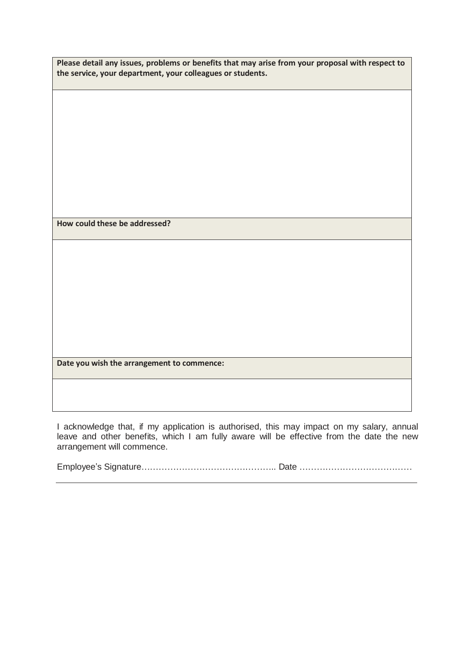| Please detail any issues, problems or benefits that may arise from your proposal with respect to |
|--------------------------------------------------------------------------------------------------|
| the service, your department, your colleagues or students.                                       |

**How could these be addressed?**

**Date you wish the arrangement to commence:**

I acknowledge that, if my application is authorised, this may impact on my salary, annual leave and other benefits, which I am fully aware will be effective from the date the new arrangement will commence.

Employee's Signature……………………………………….. Date …………………………………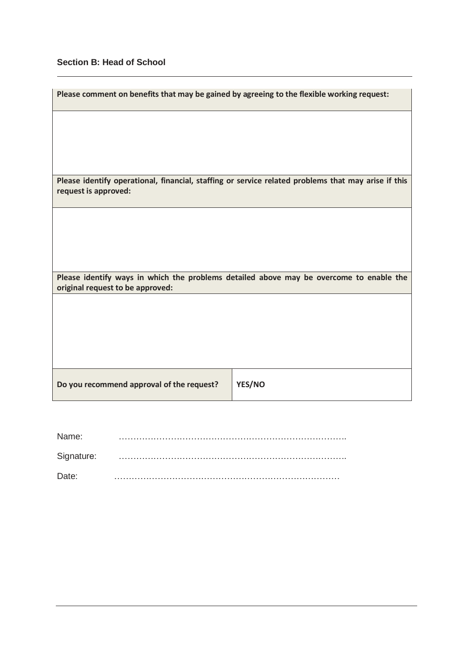# **Section B: Head of School**

| Please comment on benefits that may be gained by agreeing to the flexible working request:                                  |        |  |  |
|-----------------------------------------------------------------------------------------------------------------------------|--------|--|--|
|                                                                                                                             |        |  |  |
|                                                                                                                             |        |  |  |
|                                                                                                                             |        |  |  |
| Please identify operational, financial, staffing or service related problems that may arise if this<br>request is approved: |        |  |  |
|                                                                                                                             |        |  |  |
|                                                                                                                             |        |  |  |
|                                                                                                                             |        |  |  |
| Please identify ways in which the problems detailed above may be overcome to enable the<br>original request to be approved: |        |  |  |
|                                                                                                                             |        |  |  |
|                                                                                                                             |        |  |  |
|                                                                                                                             |        |  |  |
|                                                                                                                             |        |  |  |
| Do you recommend approval of the request?                                                                                   | YES/NO |  |  |

| Name:      |  |
|------------|--|
| Signature: |  |
| Date:      |  |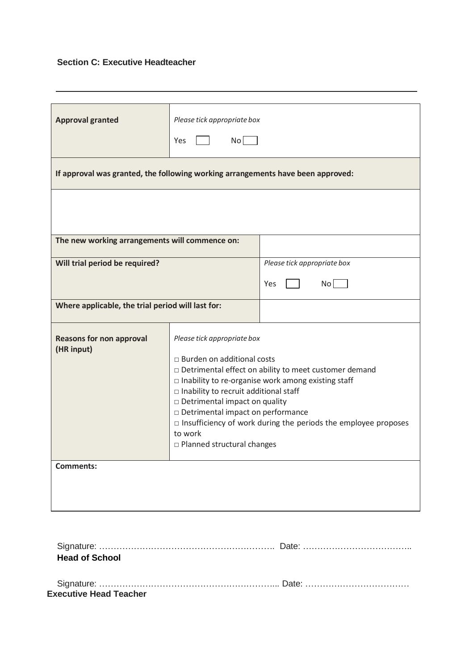# **Section C: Executive Headteacher**

| <b>Approval granted</b>                                                         | Please tick appropriate box<br>$\mathsf{No}$<br>Yes                                                                                                                                                                                                                                                                                                                                                                           |                             |  |  |  |
|---------------------------------------------------------------------------------|-------------------------------------------------------------------------------------------------------------------------------------------------------------------------------------------------------------------------------------------------------------------------------------------------------------------------------------------------------------------------------------------------------------------------------|-----------------------------|--|--|--|
| If approval was granted, the following working arrangements have been approved: |                                                                                                                                                                                                                                                                                                                                                                                                                               |                             |  |  |  |
|                                                                                 |                                                                                                                                                                                                                                                                                                                                                                                                                               |                             |  |  |  |
| The new working arrangements will commence on:                                  |                                                                                                                                                                                                                                                                                                                                                                                                                               |                             |  |  |  |
| Will trial period be required?                                                  |                                                                                                                                                                                                                                                                                                                                                                                                                               | Please tick appropriate box |  |  |  |
|                                                                                 |                                                                                                                                                                                                                                                                                                                                                                                                                               | No<br>Yes                   |  |  |  |
| Where applicable, the trial period will last for:                               |                                                                                                                                                                                                                                                                                                                                                                                                                               |                             |  |  |  |
| <b>Reasons for non approval</b><br>(HR input)<br><b>Comments:</b>               | Please tick appropriate box<br>$\Box$ Burden on additional costs<br>Detrimental effect on ability to meet customer demand<br>$\Box$ Inability to re-organise work among existing staff<br>□ Inability to recruit additional staff<br>□ Detrimental impact on quality<br>Detrimental impact on performance<br>$\Box$ Insufficiency of work during the periods the employee proposes<br>to work<br>□ Planned structural changes |                             |  |  |  |
|                                                                                 |                                                                                                                                                                                                                                                                                                                                                                                                                               |                             |  |  |  |

| <b>Head of School</b>         |  |
|-------------------------------|--|
|                               |  |
|                               |  |
| <b>Executive Head Teacher</b> |  |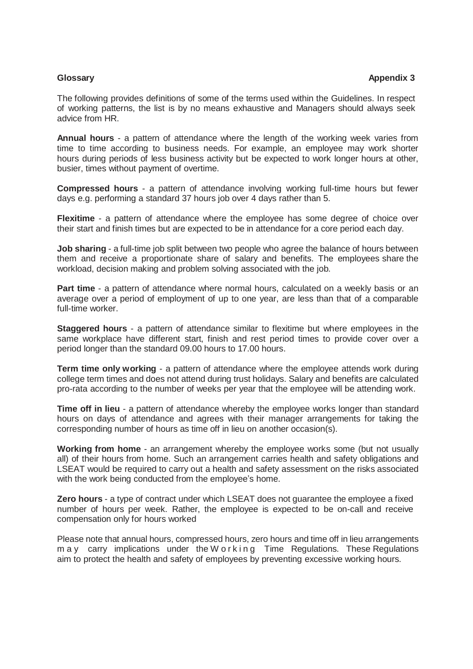The following provides definitions of some of the terms used within the Guidelines. In respect of working patterns, the list is by no means exhaustive and Managers should always seek advice from HR.

**Annual hours** - a pattern of attendance where the length of the working week varies from time to time according to business needs. For example, an employee may work shorter hours during periods of less business activity but be expected to work longer hours at other, busier, times without payment of overtime.

**Compressed hours** - a pattern of attendance involving working full-time hours but fewer days e.g. performing a standard 37 hours job over 4 days rather than 5.

**Flexitime** - a pattern of attendance where the employee has some degree of choice over their start and finish times but are expected to be in attendance for a core period each day.

**Job sharing** - a full-time job split between two people who agree the balance of hours between them and receive a proportionate share of salary and benefits. The employees share the workload, decision making and problem solving associated with the job.

**Part time** - a pattern of attendance where normal hours, calculated on a weekly basis or an average over a period of employment of up to one year, are less than that of a comparable full-time worker.

**Staggered hours** - a pattern of attendance similar to flexitime but where employees in the same workplace have different start, finish and rest period times to provide cover over a period longer than the standard 09.00 hours to 17.00 hours.

**Term time only working** - a pattern of attendance where the employee attends work during college term times and does not attend during trust holidays. Salary and benefits are calculated pro-rata according to the number of weeks per year that the employee will be attending work.

**Time off in lieu** - a pattern of attendance whereby the employee works longer than standard hours on days of attendance and agrees with their manager arrangements for taking the corresponding number of hours as time off in lieu on another occasion(s).

**Working from home** - an arrangement whereby the employee works some (but not usually all) of their hours from home. Such an arrangement carries health and safety obligations and LSEAT would be required to carry out a health and safety assessment on the risks associated with the work being conducted from the employee's home.

**Zero hours** - a type of contract under which LSEAT does not guarantee the employee a fixed number of hours per week. Rather, the employee is expected to be on-call and receive compensation only for hours worked

Please note that annual hours, compressed hours, zero hours and time off in lieu arrangements m a y carry implications under the W o r k in g Time Regulations. These Regulations aim to protect the health and safety of employees by preventing excessive working hours.